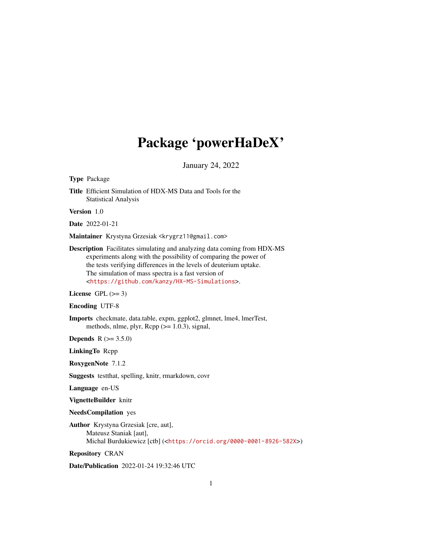# Package 'powerHaDeX'

January 24, 2022

<span id="page-0-0"></span>Type Package

Title Efficient Simulation of HDX-MS Data and Tools for the Statistical Analysis

Version 1.0

Date 2022-01-21

Maintainer Krystyna Grzesiak <krygrz11@gmail.com>

Description Facilitates simulating and analyzing data coming from HDX-MS experiments along with the possibility of comparing the power of the tests verifying differences in the levels of deuterium uptake. The simulation of mass spectra is a fast version of <<https://github.com/kanzy/HX-MS-Simulations>>.

License GPL  $(>= 3)$ 

Encoding UTF-8

Imports checkmate, data.table, expm, ggplot2, glmnet, lme4, lmerTest, methods, nlme, plyr,  $\text{Rcpp}$  ( $\geq 1.0.3$ ), signal,

**Depends** R  $(>= 3.5.0)$ 

LinkingTo Rcpp

RoxygenNote 7.1.2

Suggests testthat, spelling, knitr, rmarkdown, covr

Language en-US

VignetteBuilder knitr

NeedsCompilation yes

Author Krystyna Grzesiak [cre, aut], Mateusz Staniak [aut], Michal Burdukiewicz [ctb] (<<https://orcid.org/0000-0001-8926-582X>>)

Repository CRAN

Date/Publication 2022-01-24 19:32:46 UTC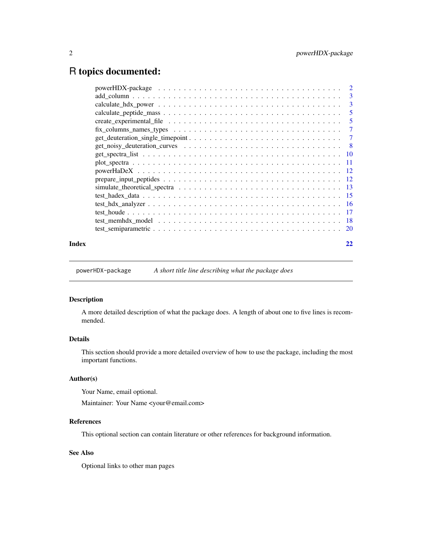# <span id="page-1-0"></span>R topics documented:

|       | $add\_column \dots \dots \dots \dots \dots \dots \dots \dots \dots \dots \dots \dots \dots \dots \dots \dots \dots \dots$ |                         |
|-------|---------------------------------------------------------------------------------------------------------------------------|-------------------------|
|       |                                                                                                                           | $\overline{\mathbf{3}}$ |
|       |                                                                                                                           | $\overline{5}$          |
|       |                                                                                                                           |                         |
|       |                                                                                                                           |                         |
|       |                                                                                                                           |                         |
|       |                                                                                                                           |                         |
|       |                                                                                                                           |                         |
|       |                                                                                                                           |                         |
|       |                                                                                                                           |                         |
|       |                                                                                                                           |                         |
|       |                                                                                                                           |                         |
|       |                                                                                                                           |                         |
|       |                                                                                                                           |                         |
|       |                                                                                                                           |                         |
|       |                                                                                                                           |                         |
|       |                                                                                                                           |                         |
| Index |                                                                                                                           |                         |

powerHDX-package *A short title line describing what the package does*

# Description

A more detailed description of what the package does. A length of about one to five lines is recommended.

# Details

This section should provide a more detailed overview of how to use the package, including the most important functions.

# Author(s)

Your Name, email optional.

Maintainer: Your Name <your@email.com>

#### References

This optional section can contain literature or other references for background information.

# See Also

Optional links to other man pages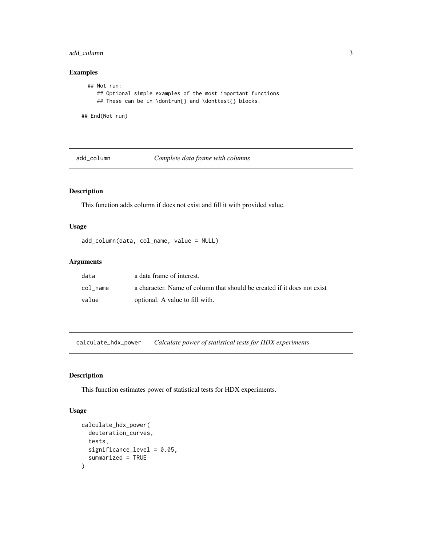# <span id="page-2-0"></span>add\_column 3

# Examples

```
## Not run:
     ## Optional simple examples of the most important functions
     ## These can be in \dontrun{} and \donttest{} blocks.
## End(Not run)
```
add\_column *Complete data frame with columns*

# Description

This function adds column if does not exist and fill it with provided value.

# Usage

```
add_column(data, col_name, value = NULL)
```
#### Arguments

| data     | a data frame of interest.                                               |
|----------|-------------------------------------------------------------------------|
| col name | a character. Name of column that should be created if it does not exist |
| value    | optional. A value to fill with.                                         |

<span id="page-2-1"></span>calculate\_hdx\_power *Calculate power of statistical tests for HDX experiments*

# Description

This function estimates power of statistical tests for HDX experiments.

# Usage

```
calculate_hdx_power(
  deuteration_curves,
  tests,
  significance_level = 0.05,
  summarized = TRUE
\mathcal{E}
```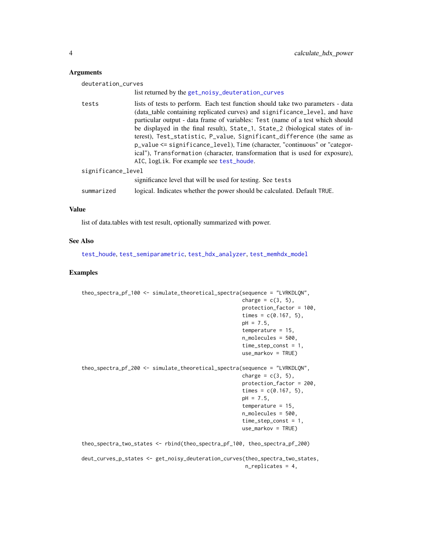#### Arguments

| deuteration_curves |                                                                                                                                                                                                                                                                                                                                                                                                                                                                                                                                                                                                                      |
|--------------------|----------------------------------------------------------------------------------------------------------------------------------------------------------------------------------------------------------------------------------------------------------------------------------------------------------------------------------------------------------------------------------------------------------------------------------------------------------------------------------------------------------------------------------------------------------------------------------------------------------------------|
|                    | list returned by the get_noisy_deuteration_curves                                                                                                                                                                                                                                                                                                                                                                                                                                                                                                                                                                    |
| tests              | lists of tests to perform. Each test function should take two parameters - data<br>(data_table containing replicated curves) and significance_level, and have<br>particular output - data frame of variables: Test (name of a test which should<br>be displayed in the final result), State_1, State_2 (biological states of in-<br>terest), Test_statistic, P_value, Significant_difference (the same as<br>p_value <= significance_level), Time (character, "continuous" or "categor-<br>ical"), Transformation (character, transformation that is used for exposure),<br>AIC, logLik. For example see test_houde. |
| significance_level |                                                                                                                                                                                                                                                                                                                                                                                                                                                                                                                                                                                                                      |
|                    | significance level that will be used for testing. See tests                                                                                                                                                                                                                                                                                                                                                                                                                                                                                                                                                          |
| summarized         | logical. Indicates whether the power should be calculated. Default TRUE.                                                                                                                                                                                                                                                                                                                                                                                                                                                                                                                                             |

#### Value

list of data.tables with test result, optionally summarized with power.

#### See Also

[test\\_houde](#page-16-1), [test\\_semiparametric](#page-19-1), [test\\_hdx\\_analyzer](#page-15-1), [test\\_memhdx\\_model](#page-17-1)

#### Examples

```
theo_spectra_pf_100 <- simulate_theoretical_spectra(sequence = "LVRKDLQN",
                                                    charge = c(3, 5),
                                                    protection_factor = 100,
                                                    times = c(0.167, 5),
                                                    pH = 7.5,
                                                    temperature = 15,
                                                    n_molecules = 500,
                                                    time_step_const = 1,
                                                    use_markov = TRUE)
theo_spectra_pf_200 <- simulate_theoretical_spectra(sequence = "LVRKDLQN",
                                                    charge = c(3, 5),
                                                    protection_factor = 200,
                                                    times = c(0.167, 5),
                                                    pH = 7.5,
                                                    temperature = 15,
                                                    n_molecules = 500,
                                                    time_step_const = 1,
                                                    use_markov = TRUE)
theo_spectra_two_states <- rbind(theo_spectra_pf_100, theo_spectra_pf_200)
deut_curves_p_states <- get_noisy_deuteration_curves(theo_spectra_two_states,
```
n\_replicates = 4,

<span id="page-3-0"></span>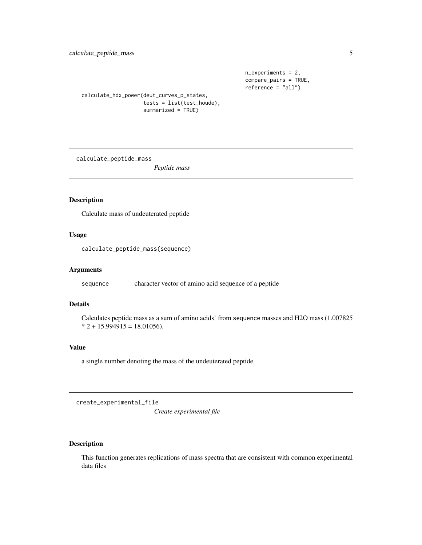```
n_experiments = 2,
compare_pairs = TRUE,
reference = "all")
```
<span id="page-4-0"></span>calculate\_hdx\_power(deut\_curves\_p\_states, tests = list(test\_houde), summarized = TRUE)

calculate\_peptide\_mass

*Peptide mass*

# Description

Calculate mass of undeuterated peptide

# Usage

calculate\_peptide\_mass(sequence)

#### Arguments

sequence character vector of amino acid sequence of a peptide

# Details

Calculates peptide mass as a sum of amino acids' from sequence masses and H2O mass (1.007825  $* 2 + 15.994915 = 18.01056.$ 

#### Value

a single number denoting the mass of the undeuterated peptide.

<span id="page-4-1"></span>create\_experimental\_file

*Create experimental file*

# Description

This function generates replications of mass spectra that are consistent with common experimental data files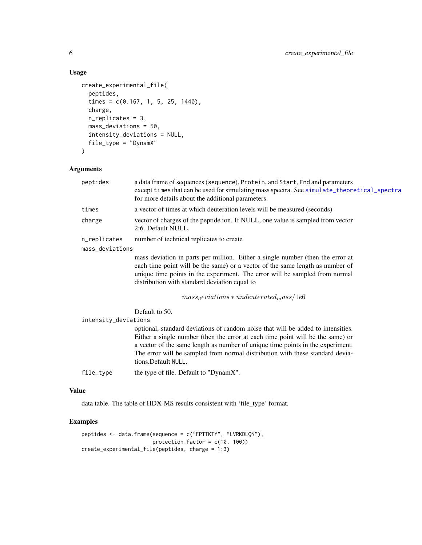# Usage

```
create_experimental_file(
  peptides,
  times = c(0.167, 1, 5, 25, 1440),
  charge,
  n_replicates = 3,
  mass_deviations = 50,
  intensity_deviations = NULL,
  file_type = "DynamX"
\mathcal{L}
```
# Arguments

| peptides             | a data frame of sequences (sequence), Protein, and Start, End and parameters<br>except times that can be used for simulating mass spectra. See simulate_theoretical_spectra<br>for more details about the additional parameters.                                                                                                                              |
|----------------------|---------------------------------------------------------------------------------------------------------------------------------------------------------------------------------------------------------------------------------------------------------------------------------------------------------------------------------------------------------------|
| times                | a vector of times at which deuteration levels will be measured (seconds)                                                                                                                                                                                                                                                                                      |
| charge               | vector of charges of the peptide ion. If NULL, one value is sampled from vector<br>2:6. Default NULL.                                                                                                                                                                                                                                                         |
| n_replicates         | number of technical replicates to create                                                                                                                                                                                                                                                                                                                      |
| mass_deviations      |                                                                                                                                                                                                                                                                                                                                                               |
|                      | mass deviation in parts per million. Either a single number (then the error at<br>each time point will be the same) or a vector of the same length as number of<br>unique time points in the experiment. The error will be sampled from normal<br>distribution with standard deviation equal to                                                               |
|                      | $mass_{d}eviations * undeuterated_{mass}/1e6$                                                                                                                                                                                                                                                                                                                 |
|                      | Default to 50.                                                                                                                                                                                                                                                                                                                                                |
| intensity_deviations |                                                                                                                                                                                                                                                                                                                                                               |
|                      | optional, standard deviations of random noise that will be added to intensities.<br>Either a single number (then the error at each time point will be the same) or<br>a vector of the same length as number of unique time points in the experiment.<br>The error will be sampled from normal distribution with these standard devia-<br>tions. Default NULL. |
| file_type            | the type of file. Default to "DynamX".                                                                                                                                                                                                                                                                                                                        |

## Value

data table. The table of HDX-MS results consistent with 'file\_type' format.

```
peptides <- data.frame(sequence = c("FPTTKTY", "LVRKDLQN"),
                      protection_factor = c(10, 100))
create_experimental_file(peptides, charge = 1:3)
```
<span id="page-5-0"></span>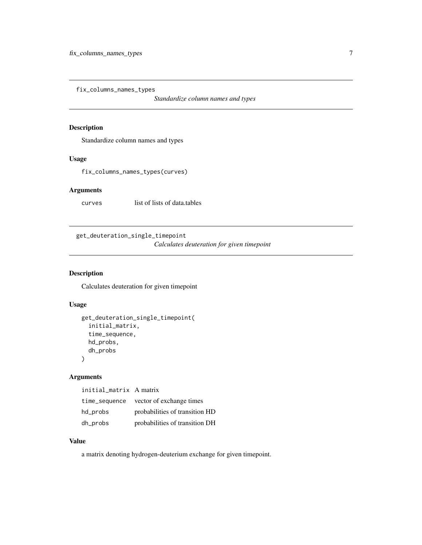<span id="page-6-0"></span>fix\_columns\_names\_types

*Standardize column names and types*

# Description

Standardize column names and types

# Usage

fix\_columns\_names\_types(curves)

# Arguments

curves list of lists of data.tables

get\_deuteration\_single\_timepoint

*Calculates deuteration for given timepoint*

#### Description

Calculates deuteration for given timepoint

#### Usage

```
get_deuteration_single_timepoint(
  initial_matrix,
  time_sequence,
  hd_probs,
  dh_probs
\mathcal{L}
```
# Arguments

initial\_matrix A matrix

| time_sequence | vector of exchange times       |
|---------------|--------------------------------|
| hd_probs      | probabilities of transition HD |
| dh_probs      | probabilities of transition DH |

# Value

a matrix denoting hydrogen-deuterium exchange for given timepoint.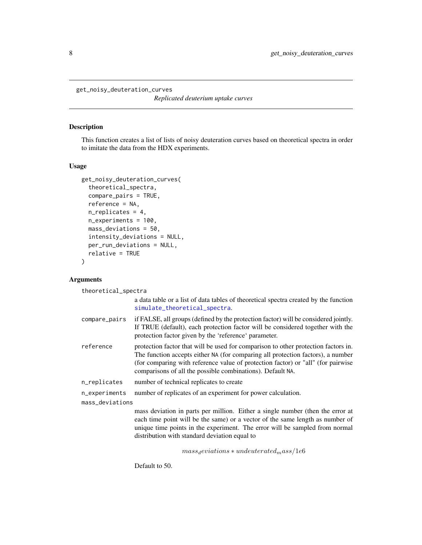<span id="page-7-1"></span><span id="page-7-0"></span>get\_noisy\_deuteration\_curves

*Replicated deuterium uptake curves*

## Description

This function creates a list of lists of noisy deuteration curves based on theoretical spectra in order to imitate the data from the HDX experiments.

# Usage

```
get_noisy_deuteration_curves(
  theoretical_spectra,
  compare_pairs = TRUE,
  reference = NA,
  n_replicates = 4,
  n_experiments = 100,
 mass_deviations = 50,
  intensity_deviations = NULL,
 per_run_deviations = NULL,
  relative = TRUE
\mathcal{L}
```
# Arguments

theoretical\_spectra

|                 | a data table or a list of data tables of theoretical spectra created by the function<br>simulate_theoretical_spectra.                                                                                                                                                                                                   |
|-----------------|-------------------------------------------------------------------------------------------------------------------------------------------------------------------------------------------------------------------------------------------------------------------------------------------------------------------------|
| compare_pairs   | if FALSE, all groups (defined by the protection factor) will be considered jointly.<br>If TRUE (default), each protection factor will be considered together with the<br>protection factor given by the 'reference' parameter.                                                                                          |
| reference       | protection factor that will be used for comparison to other protection factors in.<br>The function accepts either NA (for comparing all protection factors), a number<br>(for comparing with reference value of protection factor) or "all" (for pairwise<br>comparisons of all the possible combinations). Default NA. |
| n_replicates    | number of technical replicates to create                                                                                                                                                                                                                                                                                |
| n_experiments   | number of replicates of an experiment for power calculation.                                                                                                                                                                                                                                                            |
| mass_deviations |                                                                                                                                                                                                                                                                                                                         |
|                 | mass deviation in parts per million. Either a single number (then the error at<br>each time point will be the same) or a vector of the same length as number of<br>unique time points in the experiment. The error will be sampled from normal                                                                          |

distribution with standard deviation equal to

 $mass<sub>d</sub>eviations * undeuterated<sub>m</sub>ass/1e6$ 

Default to 50.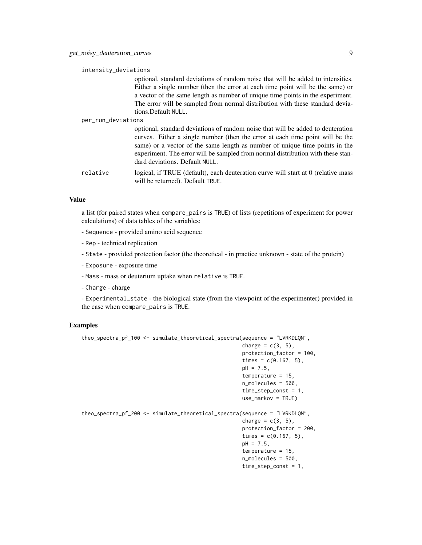intensity\_deviations

optional, standard deviations of random noise that will be added to intensities. Either a single number (then the error at each time point will be the same) or a vector of the same length as number of unique time points in the experiment. The error will be sampled from normal distribution with these standard deviations.Default NULL.

per\_run\_deviations

optional, standard deviations of random noise that will be added to deuteration curves. Either a single number (then the error at each time point will be the same) or a vector of the same length as number of unique time points in the experiment. The error will be sampled from normal distribution with these standard deviations. Default NULL.

relative logical, if TRUE (default), each deuteration curve will start at 0 (relative mass will be returned). Default TRUE.

#### Value

a list (for paired states when compare\_pairs is TRUE) of lists (repetitions of experiment for power calculations) of data tables of the variables:

- Sequence provided amino acid sequence
- Rep technical replication
- State provided protection factor (the theoretical in practice unknown state of the protein)
- Exposure exposure time
- Mass mass or deuterium uptake when relative is TRUE.
- Charge charge

- Experimental\_state - the biological state (from the viewpoint of the experimenter) provided in the case when compare\_pairs is TRUE.

```
theo_spectra_pf_100 <- simulate_theoretical_spectra(sequence = "LVRKDLQN",
                                                     charge = c(3, 5),
                                                     protection_factor = 100,
                                                     times = c(0.167, 5),
                                                     pH = 7.5,
                                                     temperature = 15,
                                                     n_molecules = 500,
                                                     time_step_const = 1,
                                                     use_markov = TRUE)
theo_spectra_pf_200 <- simulate_theoretical_spectra(sequence = "LVRKDLQN",
                                                     charge = c(3, 5),
                                                     protection_factor = 200,
                                                     times = c(0.167, 5),
                                                     pH = 7.5,
                                                     temperature = 15,
                                                     n_molecules = 500,
                                                     time_step_const = 1,
```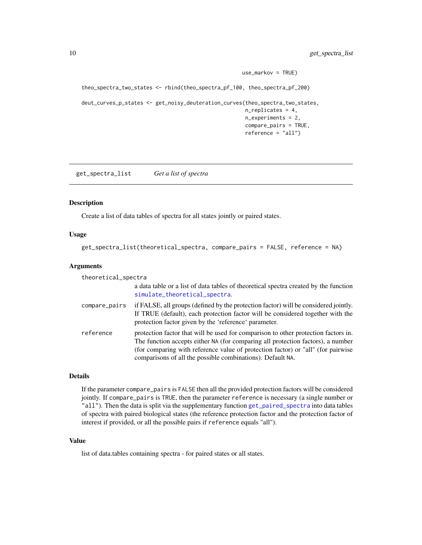```
use_markov = TRUE)
theo_spectra_two_states <- rbind(theo_spectra_pf_100, theo_spectra_pf_200)
deut_curves_p_states <- get_noisy_deuteration_curves(theo_spectra_two_states,
                                                     n_replicates = 4,
                                                     n_experiments = 2,
                                                     compare_pairs = TRUE,
                                                     reference = "all")
```
get\_spectra\_list *Get a list of spectra*

#### Description

Create a list of data tables of spectra for all states jointly or paired states.

#### Usage

```
get_spectra_list(theoretical_spectra, compare_pairs = FALSE, reference = NA)
```
#### Arguments

| theoretical_spectra |                                                                                                                                                                                                                                                                                                                         |
|---------------------|-------------------------------------------------------------------------------------------------------------------------------------------------------------------------------------------------------------------------------------------------------------------------------------------------------------------------|
|                     | a data table or a list of data tables of theoretical spectra created by the function<br>simulate_theoretical_spectra.                                                                                                                                                                                                   |
| compare_pairs       | if FALSE, all groups (defined by the protection factor) will be considered jointly.<br>If TRUE (default), each protection factor will be considered together with the<br>protection factor given by the 'reference' parameter.                                                                                          |
| reference           | protection factor that will be used for comparison to other protection factors in.<br>The function accepts either NA (for comparing all protection factors), a number<br>(for comparing with reference value of protection factor) or "all" (for pairwise<br>comparisons of all the possible combinations). Default NA. |

#### Details

If the parameter compare\_pairs is FALSE then all the provided protection factors will be considered jointly. If compare\_pairs is TRUE, then the parameter reference is necessary (a single number or "all"). Then the data is split via the supplementary function [get\\_paired\\_spectra](#page-0-0) into data tables of spectra with paired biological states (the reference protection factor and the protection factor of interest if provided, or all the possible pairs if reference equals "all").

#### Value

list of data.tables containing spectra - for paired states or all states.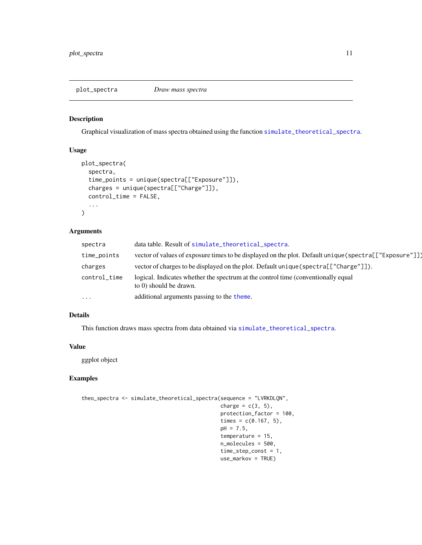#### <span id="page-10-0"></span>Description

Graphical visualization of mass spectra obtained using the function [simulate\\_theoretical\\_spectra](#page-12-1).

# Usage

```
plot_spectra(
  spectra,
  time_points = unique(spectra[["Exposure"]]),
  charges = unique(spectra[["Charge"]]),
  control_time = FALSE,
  ...
\mathcal{L}
```
# Arguments

| spectra      | data table. Result of simulate_theoretical_spectra.                                                         |
|--------------|-------------------------------------------------------------------------------------------------------------|
| time_points  | vector of values of exposure times to be displayed on the plot. Default unique (spectra[["Exposure"]])      |
| charges      | vector of charges to be displayed on the plot. Default unique (spectra [["Charge"]]).                       |
| control_time | logical. Indicates whether the spectrum at the control time (conventionally equal<br>to 0) should be drawn. |
| $\cdots$     | additional arguments passing to the theme.                                                                  |

# Details

This function draws mass spectra from data obtained via [simulate\\_theoretical\\_spectra](#page-12-1).

#### Value

ggplot object

```
theo_spectra <- simulate_theoretical_spectra(sequence = "LVRKDLQN",
                                             charge = c(3, 5),
                                             protection_factor = 100,
                                             times = c(0.167, 5),
                                             pH = 7.5,
                                             temperature = 15,
                                             n_molecules = 500,
                                             time_step_const = 1,
                                             use_markov = TRUE)
```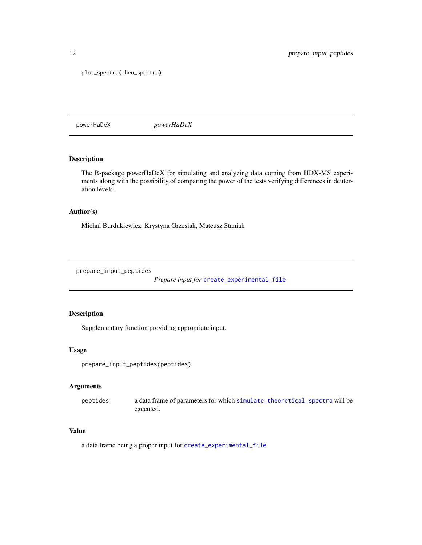plot\_spectra(theo\_spectra)

powerHaDeX *powerHaDeX*

# Description

The R-package powerHaDeX for simulating and analyzing data coming from HDX-MS experiments along with the possibility of comparing the power of the tests verifying differences in deuteration levels.

### Author(s)

Michal Burdukiewicz, Krystyna Grzesiak, Mateusz Staniak

prepare\_input\_peptides

*Prepare input for* [create\\_experimental\\_file](#page-4-1)

# Description

Supplementary function providing appropriate input.

#### Usage

```
prepare_input_peptides(peptides)
```
#### Arguments

peptides a data frame of parameters for which [simulate\\_theoretical\\_spectra](#page-12-1) will be executed.

# Value

a data frame being a proper input for [create\\_experimental\\_file](#page-4-1).

<span id="page-11-0"></span>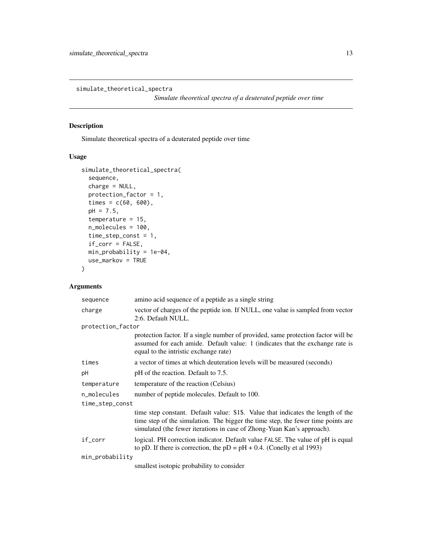<span id="page-12-1"></span><span id="page-12-0"></span>simulate\_theoretical\_spectra

*Simulate theoretical spectra of a deuterated peptide over time*

# Description

Simulate theoretical spectra of a deuterated peptide over time

# Usage

```
simulate_theoretical_spectra(
  sequence,
 charge = NULL,
 protection_factor = 1,
  times = c(60, 600),
 pH = 7.5,
  temperature = 15,
 n_molecules = 100,
  time_step_const = 1,
  if_corr = FALSE,
 min_probability = 1e-04,
 use_markov = TRUE
)
```
# Arguments

| sequence          | amino acid sequence of a peptide as a single string                                                                                                                                                                                            |
|-------------------|------------------------------------------------------------------------------------------------------------------------------------------------------------------------------------------------------------------------------------------------|
| charge            | vector of charges of the peptide ion. If NULL, one value is sampled from vector<br>2:6. Default NULL.                                                                                                                                          |
| protection_factor |                                                                                                                                                                                                                                                |
|                   | protection factor. If a single number of provided, same protection factor will be<br>assumed for each amide. Default value: 1 (indicates that the exchange rate is<br>equal to the intristic exchange rate)                                    |
| times             | a vector of times at which deuteration levels will be measured (seconds)                                                                                                                                                                       |
| pH                | pH of the reaction. Default to 7.5.                                                                                                                                                                                                            |
| temperature       | temperature of the reaction (Celsius)                                                                                                                                                                                                          |
| n_molecules       | number of peptide molecules. Default to 100.                                                                                                                                                                                                   |
| time_step_const   |                                                                                                                                                                                                                                                |
|                   | time step constant. Default value: \$1\$. Value that indicates the length of the<br>time step of the simulation. The bigger the time step, the fewer time points are<br>simulated (the fewer iterations in case of Zhong-Yuan Kan's approach). |
| if_corr           | logical. PH correction indicator. Default value FALSE. The value of pH is equal<br>to pD. If there is correction, the $pD = pH + 0.4$ . (Conelly et al 1993)                                                                                   |
| min_probability   |                                                                                                                                                                                                                                                |
|                   | emallest isotonic probability to consider                                                                                                                                                                                                      |

smallest isotopic probability to consider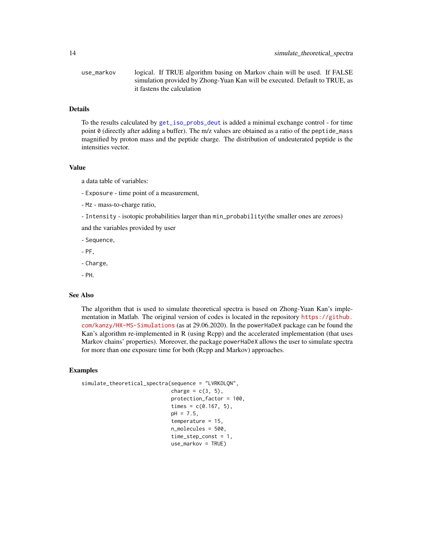<span id="page-13-0"></span>use\_markov logical. If TRUE algorithm basing on Markov chain will be used. If FALSE simulation provided by Zhong-Yuan Kan will be executed. Default to TRUE, as it fastens the calculation

### Details

To the results calculated by [get\\_iso\\_probs\\_deut](#page-0-0) is added a minimal exchange control - for time point 0 (directly after adding a buffer). The m/z values are obtained as a ratio of the peptide\_mass magnified by proton mass and the peptide charge. The distribution of undeuterated peptide is the intensities vector.

#### Value

a data table of variables:

- Exposure time point of a measurement,
- Mz mass-to-charge ratio,
- Intensity isotopic probabilities larger than min\_probability(the smaller ones are zeroes)

and the variables provided by user

- Sequence,
- PF,
- Charge,
- PH.

#### See Also

The algorithm that is used to simulate theoretical spectra is based on Zhong-Yuan Kan's implementation in Matlab. The original version of codes is located in the repository [https://github.](https://github.com/kanzy/HX-MS-Simulations) [com/kanzy/HX-MS-Simulations](https://github.com/kanzy/HX-MS-Simulations) (as at 29.06.2020). In the powerHaDeX package can be found the Kan's algorithm re-implemented in R (using Rcpp) and the accelerated implementation (that uses Markov chains' properties). Moreover, the package powerHaDeX allows the user to simulate spectra for more than one exposure time for both (Rcpp and Markov) approaches.

```
simulate_theoretical_spectra(sequence = "LVRKDLQN",
                             charge = c(3, 5),
                             protection_factor = 100,
                             times = c(0.167, 5),
                             pH = 7.5,
                             temperature = 15,
                             n_molecules = 500,
                             time_step_const = 1,
                             use_markov = TRUE)
```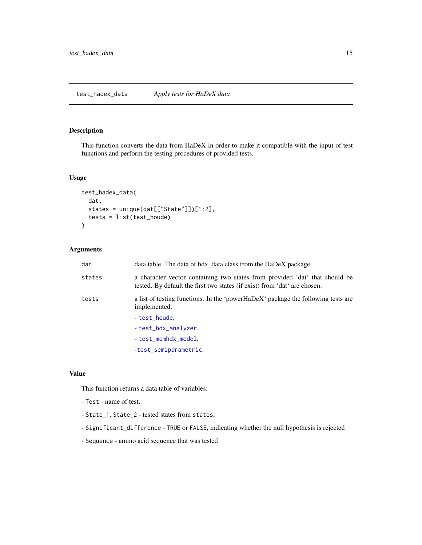#### <span id="page-14-0"></span>Description

This function converts the data from HaDeX in order to make it compatible with the input of test functions and perform the testing procedures of provided tests.

#### Usage

```
test_hadex_data(
  dat,
 states = unique(dat[["State"]])[1:2],
  tests = list(test_houde)
)
```
# Arguments

| dat    | data.table. The data of hdx_data class from the HaDeX package.                                                                                           |
|--------|----------------------------------------------------------------------------------------------------------------------------------------------------------|
| states | a character vector containing two states from provided 'dat' that should be<br>tested. By default the first two states (if exist) from 'dat' are chosen. |
| tests  | a list of testing functions. In the 'powerHaDeX' package the following tests are<br>implemented:                                                         |
|        | test_houde.                                                                                                                                              |
|        | - test_hdx_analyzer,                                                                                                                                     |
|        | - test_memhdx_model,                                                                                                                                     |
|        | -test_semiparametric.                                                                                                                                    |

#### Value

This function returns a data table of variables:

- Test name of test,
- State\_1, State\_2 tested states from states,
- Significant\_difference TRUE or FALSE, indicating whether the null hypothesis is rejected
- Sequence amino acid sequence that was tested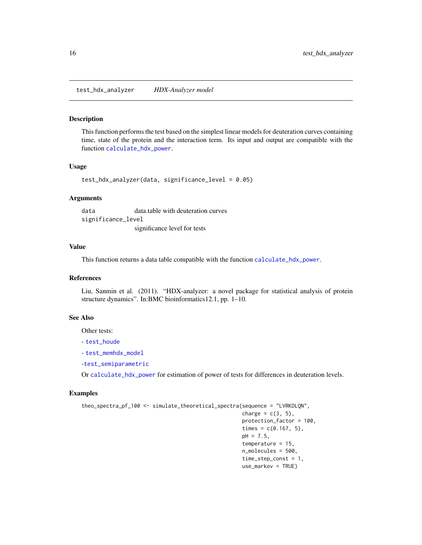<span id="page-15-1"></span><span id="page-15-0"></span>test\_hdx\_analyzer *HDX-Analyzer model*

#### Description

This function performs the test based on the simplest linear models for deuteration curves containing time, state of the protein and the interaction term. Its input and output are compatible with the function [calculate\\_hdx\\_power](#page-2-1).

#### Usage

```
test_hdx_analyzer(data, significance_level = 0.05)
```
#### Arguments

data data.table with deuteration curves significance\_level significance level for tests

#### Value

This function returns a data table compatible with the function [calculate\\_hdx\\_power](#page-2-1).

#### References

Liu, Sanmin et al. (2011). "HDX-analyzer: a novel package for statistical analysis of protein structure dynamics". In:BMC bioinformatics12.1, pp. 1–10.

#### See Also

Other tests:

```
- test_houde
```
- [test\\_memhdx\\_model](#page-17-1)

-[test\\_semiparametric](#page-19-1)

Or [calculate\\_hdx\\_power](#page-2-1) for estimation of power of tests for differences in deuteration levels.

```
theo_spectra_pf_100 <- simulate_theoretical_spectra(sequence = "LVRKDLQN",
                                                     charge = c(3, 5),
                                                     protection_factor = 100,
                                                     times = c(0.167, 5),
                                                     pH = 7.5,
                                                     temperature = 15,
                                                     n_molecules = 500,
                                                     time_step_const = 1,
                                                     use_markov = TRUE)
```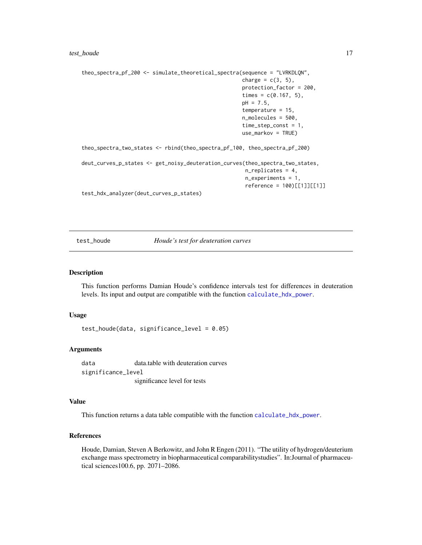```
theo_spectra_pf_200 <- simulate_theoretical_spectra(sequence = "LVRKDLQN",
                                                    charge = c(3, 5),
                                                    protection_factor = 200,
                                                     times = c(0.167, 5),
                                                    pH = 7.5,
                                                     temperature = 15,
                                                     n_molecules = 500,
                                                     time_step_const = 1,
                                                     use_markov = TRUE)
theo_spectra_two_states <- rbind(theo_spectra_pf_100, theo_spectra_pf_200)
deut_curves_p_states <- get_noisy_deuteration_curves(theo_spectra_two_states,
                                                     n_replicates = 4,
                                                     n_experiments = 1,
                                                     reference = 100)[[1]][[1]]
test_hdx_analyzer(deut_curves_p_states)
```
<span id="page-16-1"></span>test\_houde *Houde's test for deuteration curves*

#### Description

This function performs Damian Houde's confidence intervals test for differences in deuteration levels. Its input and output are compatible with the function [calculate\\_hdx\\_power](#page-2-1).

#### Usage

test\_houde(data, significance\_level = 0.05)

#### Arguments

data data.table with deuteration curves significance\_level significance level for tests

#### Value

This function returns a data table compatible with the function [calculate\\_hdx\\_power](#page-2-1).

#### References

Houde, Damian, Steven A Berkowitz, and John R Engen (2011). "The utility of hydrogen/deuterium exchange mass spectrometry in biopharmaceutical comparabilitystudies". In:Journal of pharmaceutical sciences100.6, pp. 2071–2086.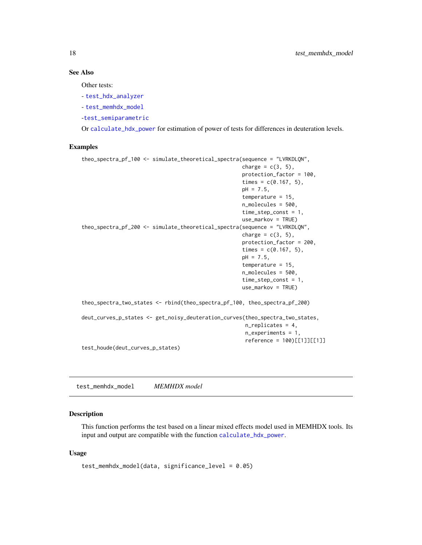#### See Also

Other tests:

- [test\\_hdx\\_analyzer](#page-15-1)

- [test\\_memhdx\\_model](#page-17-1)

-[test\\_semiparametric](#page-19-1)

Or [calculate\\_hdx\\_power](#page-2-1) for estimation of power of tests for differences in deuteration levels.

#### Examples

```
theo_spectra_pf_100 <- simulate_theoretical_spectra(sequence = "LVRKDLQN",
                                                    charge = c(3, 5),
                                                    protection_factor = 100,
                                                     times = c(0.167, 5),
                                                    pH = 7.5,
                                                    temperature = 15,
                                                    n_molecules = 500,
                                                     time_step_const = 1,
                                                    use_markov = TRUE)
theo_spectra_pf_200 <- simulate_theoretical_spectra(sequence = "LVRKDLQN",
                                                    charge = c(3, 5),
                                                    protection_factor = 200,
                                                    times = c(0.167, 5),
                                                    pH = 7.5,
                                                     temperature = 15,
                                                    n_molecules = 500,
                                                     time_step_const = 1,
                                                    use_markov = TRUE)
theo_spectra_two_states <- rbind(theo_spectra_pf_100, theo_spectra_pf_200)
deut_curves_p_states <- get_noisy_deuteration_curves(theo_spectra_two_states,
                                                     n_replicates = 4,
                                                     n_experiments = 1,
                                                     reference = 100)[[1]][[1]]
test_houde(deut_curves_p_states)
```
<span id="page-17-1"></span>test\_memhdx\_model *MEMHDX model*

#### **Description**

This function performs the test based on a linear mixed effects model used in MEMHDX tools. Its input and output are compatible with the function [calculate\\_hdx\\_power](#page-2-1).

#### Usage

```
test_memhdx_model(data, significance_level = 0.05)
```
<span id="page-17-0"></span>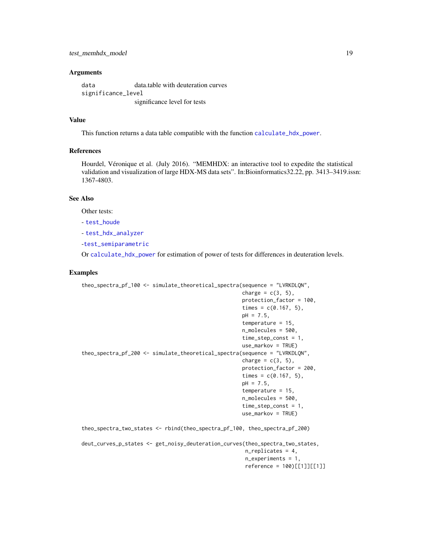#### <span id="page-18-0"></span>**Arguments**

data data.table with deuteration curves significance\_level significance level for tests

#### Value

This function returns a data table compatible with the function [calculate\\_hdx\\_power](#page-2-1).

# References

Hourdel, Véronique et al. (July 2016). "MEMHDX: an interactive tool to expedite the statistical validation and visualization of large HDX-MS data sets". In:Bioinformatics32.22, pp. 3413–3419.issn: 1367-4803.

# See Also

Other tests:

- [test\\_houde](#page-16-1)

- [test\\_hdx\\_analyzer](#page-15-1)

-[test\\_semiparametric](#page-19-1)

Or [calculate\\_hdx\\_power](#page-2-1) for estimation of power of tests for differences in deuteration levels.

```
theo_spectra_pf_100 <- simulate_theoretical_spectra(sequence = "LVRKDLQN",
                                                    charge = c(3, 5),
                                                    protection_factor = 100,
                                                    times = c(0.167, 5),
                                                    pH = 7.5,
                                                     temperature = 15,
                                                    n_molecules = 500,
                                                    time_step_const = 1,
                                                    use_markov = TRUE)
theo_spectra_pf_200 <- simulate_theoretical_spectra(sequence = "LVRKDLQN",
                                                    charge = c(3, 5),
                                                    protection_factor = 200,
                                                    times = c(0.167, 5),
                                                    pH = 7.5,
                                                     temperature = 15,
                                                     n_molecules = 500,
                                                     time_step_const = 1,
                                                    use_markov = TRUE)
theo_spectra_two_states <- rbind(theo_spectra_pf_100, theo_spectra_pf_200)
deut_curves_p_states <- get_noisy_deuteration_curves(theo_spectra_two_states,
                                                     n_replicates = 4,
                                                     n_experiments = 1,
                                                     reference = 100)[[1]][[1]]
```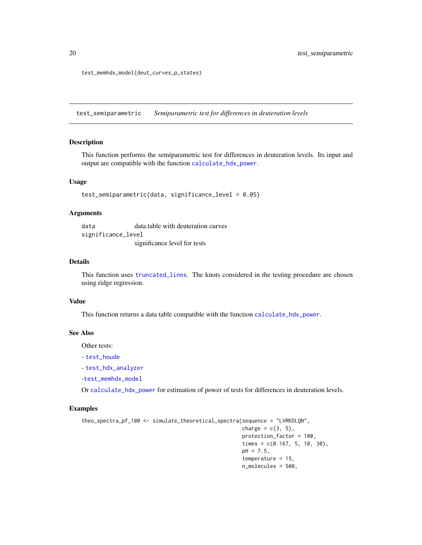test\_memhdx\_model(deut\_curves\_p\_states)

<span id="page-19-1"></span>test\_semiparametric *Semiparametric test for differences in deuteration levels*

#### Description

This function performs the semiparametric test for differences in deuteration levels. Its input and output are compatible with the function [calculate\\_hdx\\_power](#page-2-1).

#### Usage

```
test_semiparametric(data, significance_level = 0.05)
```
#### **Arguments**

data data.table with deuteration curves significance\_level significance level for tests

#### Details

This function uses [truncated\\_lines](#page-0-0). The knots considered in the testing procedure are chosen using ridge regression.

#### Value

This function returns a data table compatible with the function [calculate\\_hdx\\_power](#page-2-1).

#### See Also

Other tests:

- [test\\_houde](#page-16-1)

- [test\\_hdx\\_analyzer](#page-15-1)

-[test\\_memhdx\\_model](#page-17-1)

Or [calculate\\_hdx\\_power](#page-2-1) for estimation of power of tests for differences in deuteration levels.

```
theo_spectra_pf_100 <- simulate_theoretical_spectra(sequence = "LVRKDLQN",
                                                    charge = c(3, 5),
                                                    protection_factor = 100,
                                                    times = c(0.167, 5, 10, 30),
                                                    pH = 7.5,
                                                    temperature = 15,
                                                    n_molecules = 500,
```
<span id="page-19-0"></span>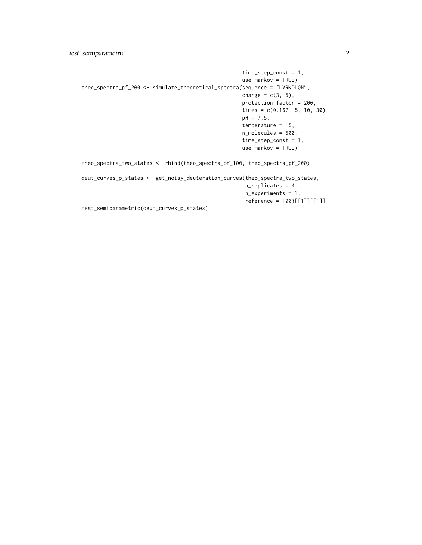```
time_step_const = 1,
                                                    use_markov = TRUE)
theo_spectra_pf_200 <- simulate_theoretical_spectra(sequence = "LVRKDLQN",
                                                    charge = c(3, 5),
                                                    protection_factor = 200,
                                                    times = c(0.167, 5, 10, 30),
                                                    pH = 7.5,
                                                    temperature = 15,
                                                    n_molecules = 500,
                                                    time_step_const = 1,
                                                    use_markov = TRUE)
theo_spectra_two_states <- rbind(theo_spectra_pf_100, theo_spectra_pf_200)
deut_curves_p_states <- get_noisy_deuteration_curves(theo_spectra_two_states,
                                                     n_replicates = 4,
                                                     n_experiments = 1,
                                                     reference = 100)[[1]][[1]]
test_semiparametric(deut_curves_p_states)
```